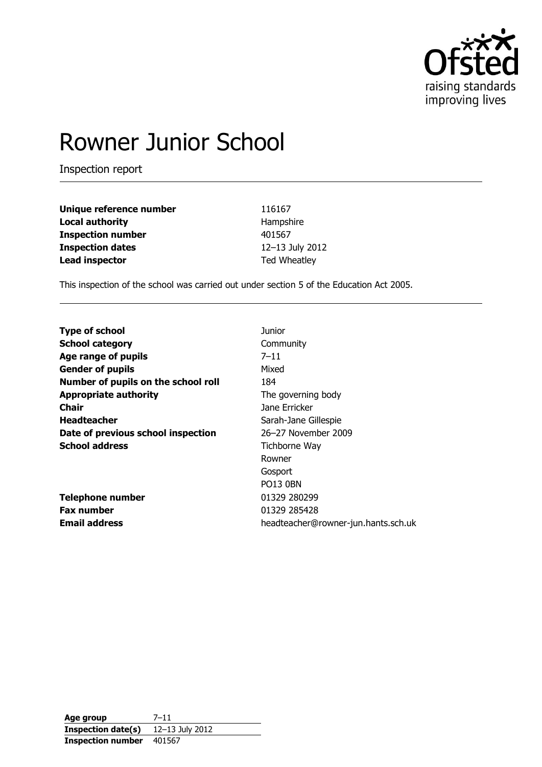

# Rowner Junior School

Inspection report

| Unique reference number  | 116167          |
|--------------------------|-----------------|
| <b>Local authority</b>   | Hampshire       |
| <b>Inspection number</b> | 401567          |
| <b>Inspection dates</b>  | 12-13 July 2012 |
| <b>Lead inspector</b>    | Ted Wheatley    |

This inspection of the school was carried out under section 5 of the Education Act 2005.

| <b>Type of school</b>               | Junior                              |
|-------------------------------------|-------------------------------------|
| <b>School category</b>              | Community                           |
| Age range of pupils                 | $7 - 11$                            |
| <b>Gender of pupils</b>             | Mixed                               |
| Number of pupils on the school roll | 184                                 |
| <b>Appropriate authority</b>        | The governing body                  |
| <b>Chair</b>                        | Jane Erricker                       |
| <b>Headteacher</b>                  | Sarah-Jane Gillespie                |
| Date of previous school inspection  | 26-27 November 2009                 |
| <b>School address</b>               | Tichborne Way                       |
|                                     | Rowner                              |
|                                     | Gosport                             |
|                                     | <b>PO13 0BN</b>                     |
| <b>Telephone number</b>             | 01329 280299                        |
| <b>Fax number</b>                   | 01329 285428                        |
| <b>Email address</b>                | headteacher@rowner-jun.hants.sch.uk |

**Age group** 7–11 **Inspection date(s)** 12–13 July 2012 **Inspection number** 401567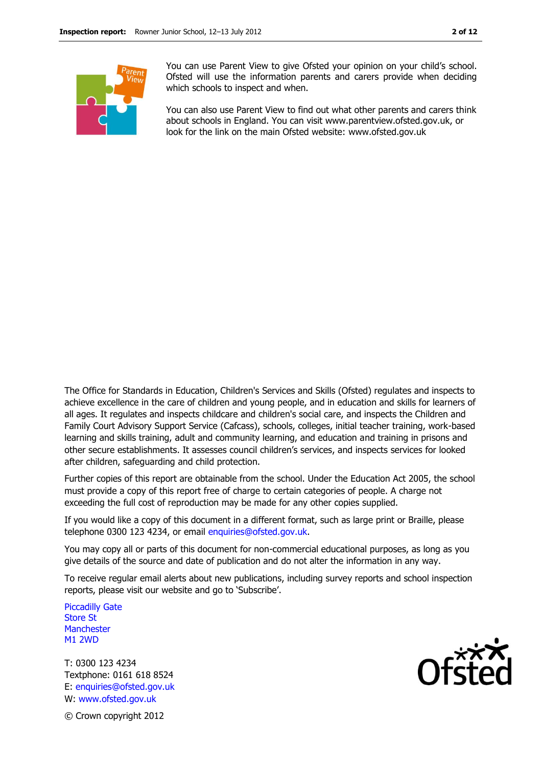

You can use Parent View to give Ofsted your opinion on your child's school. Ofsted will use the information parents and carers provide when deciding which schools to inspect and when.

You can also use Parent View to find out what other parents and carers think about schools in England. You can visit www.parentview.ofsted.gov.uk, or look for the link on the main Ofsted website: www.ofsted.gov.uk

The Office for Standards in Education, Children's Services and Skills (Ofsted) regulates and inspects to achieve excellence in the care of children and young people, and in education and skills for learners of all ages. It regulates and inspects childcare and children's social care, and inspects the Children and Family Court Advisory Support Service (Cafcass), schools, colleges, initial teacher training, work-based learning and skills training, adult and community learning, and education and training in prisons and other secure establishments. It assesses council children's services, and inspects services for looked after children, safeguarding and child protection.

Further copies of this report are obtainable from the school. Under the Education Act 2005, the school must provide a copy of this report free of charge to certain categories of people. A charge not exceeding the full cost of reproduction may be made for any other copies supplied.

If you would like a copy of this document in a different format, such as large print or Braille, please telephone 0300 123 4234, or email enquiries@ofsted.gov.uk.

You may copy all or parts of this document for non-commercial educational purposes, as long as you give details of the source and date of publication and do not alter the information in any way.

To receive regular email alerts about new publications, including survey reports and school inspection reports, please visit our website and go to 'Subscribe'.

Piccadilly Gate Store St **Manchester** M1 2WD

T: 0300 123 4234 Textphone: 0161 618 8524 E: enquiries@ofsted.gov.uk W: www.ofsted.gov.uk



© Crown copyright 2012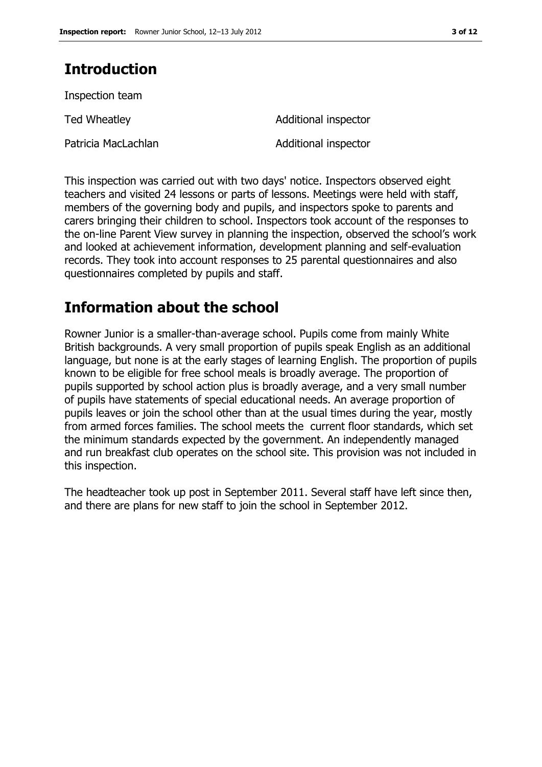# **Introduction**

Inspection team Ted Wheatley **Additional inspector** Patricia MacLachlan Additional inspector

This inspection was carried out with two days' notice. Inspectors observed eight teachers and visited 24 lessons or parts of lessons. Meetings were held with staff, members of the governing body and pupils, and inspectors spoke to parents and carers bringing their children to school. Inspectors took account of the responses to the on-line Parent View survey in planning the inspection, observed the school's work and looked at achievement information, development planning and self-evaluation records. They took into account responses to 25 parental questionnaires and also questionnaires completed by pupils and staff.

# **Information about the school**

Rowner Junior is a smaller-than-average school. Pupils come from mainly White British backgrounds. A very small proportion of pupils speak English as an additional language, but none is at the early stages of learning English. The proportion of pupils known to be eligible for free school meals is broadly average. The proportion of pupils supported by school action plus is broadly average, and a very small number of pupils have statements of special educational needs. An average proportion of pupils leaves or join the school other than at the usual times during the year, mostly from armed forces families. The school meets the current floor standards, which set the minimum standards expected by the government. An independently managed and run breakfast club operates on the school site. This provision was not included in this inspection.

The headteacher took up post in September 2011. Several staff have left since then, and there are plans for new staff to join the school in September 2012.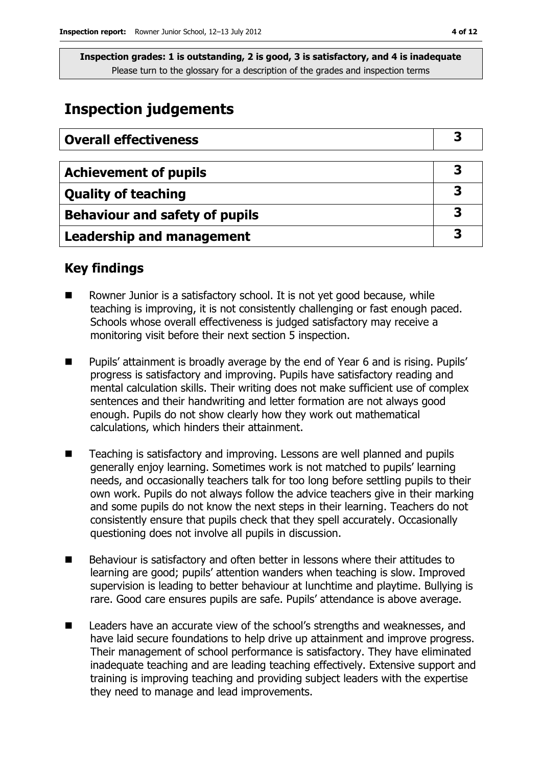## **Inspection judgements**

| <b>Overall effectiveness</b>          |  |
|---------------------------------------|--|
|                                       |  |
| <b>Achievement of pupils</b>          |  |
| <b>Quality of teaching</b>            |  |
| <b>Behaviour and safety of pupils</b> |  |
| <b>Leadership and management</b>      |  |

### **Key findings**

- Rowner Junior is a satisfactory school. It is not yet good because, while teaching is improving, it is not consistently challenging or fast enough paced. Schools whose overall effectiveness is judged satisfactory may receive a monitoring visit before their next section 5 inspection.
- Pupils' attainment is broadly average by the end of Year 6 and is rising. Pupils' progress is satisfactory and improving. Pupils have satisfactory reading and mental calculation skills. Their writing does not make sufficient use of complex sentences and their handwriting and letter formation are not always good enough. Pupils do not show clearly how they work out mathematical calculations, which hinders their attainment.
- Teaching is satisfactory and improving. Lessons are well planned and pupils generally enjoy learning. Sometimes work is not matched to pupils' learning needs, and occasionally teachers talk for too long before settling pupils to their own work. Pupils do not always follow the advice teachers give in their marking and some pupils do not know the next steps in their learning. Teachers do not consistently ensure that pupils check that they spell accurately. Occasionally questioning does not involve all pupils in discussion.
- Behaviour is satisfactory and often better in lessons where their attitudes to learning are good; pupils' attention wanders when teaching is slow. Improved supervision is leading to better behaviour at lunchtime and playtime. Bullying is rare. Good care ensures pupils are safe. Pupils' attendance is above average.
- Leaders have an accurate view of the school's strengths and weaknesses, and have laid secure foundations to help drive up attainment and improve progress. Their management of school performance is satisfactory. They have eliminated inadequate teaching and are leading teaching effectively. Extensive support and training is improving teaching and providing subject leaders with the expertise they need to manage and lead improvements.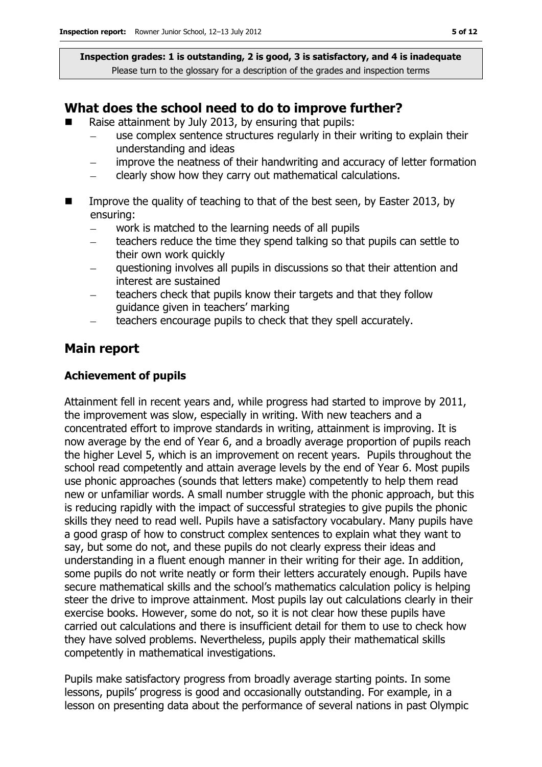### **What does the school need to do to improve further?**

- Raise attainment by July 2013, by ensuring that pupils:
	- use complex sentence structures regularly in their writing to explain their understanding and ideas
	- improve the neatness of their handwriting and accuracy of letter formation
	- clearly show how they carry out mathematical calculations.  $\equiv$
- Improve the quality of teaching to that of the best seen, by Easter 2013, by ensuring:
	- work is matched to the learning needs of all pupils
	- teachers reduce the time they spend talking so that pupils can settle to  $\equiv$ their own work quickly
	- questioning involves all pupils in discussions so that their attention and interest are sustained
	- teachers check that pupils know their targets and that they follow guidance given in teachers' marking
	- teachers encourage pupils to check that they spell accurately.

### **Main report**

#### **Achievement of pupils**

Attainment fell in recent years and, while progress had started to improve by 2011, the improvement was slow, especially in writing. With new teachers and a concentrated effort to improve standards in writing, attainment is improving. It is now average by the end of Year 6, and a broadly average proportion of pupils reach the higher Level 5, which is an improvement on recent years. Pupils throughout the school read competently and attain average levels by the end of Year 6. Most pupils use phonic approaches (sounds that letters make) competently to help them read new or unfamiliar words. A small number struggle with the phonic approach, but this is reducing rapidly with the impact of successful strategies to give pupils the phonic skills they need to read well. Pupils have a satisfactory vocabulary. Many pupils have a good grasp of how to construct complex sentences to explain what they want to say, but some do not, and these pupils do not clearly express their ideas and understanding in a fluent enough manner in their writing for their age. In addition, some pupils do not write neatly or form their letters accurately enough. Pupils have secure mathematical skills and the school's mathematics calculation policy is helping steer the drive to improve attainment. Most pupils lay out calculations clearly in their exercise books. However, some do not, so it is not clear how these pupils have carried out calculations and there is insufficient detail for them to use to check how they have solved problems. Nevertheless, pupils apply their mathematical skills competently in mathematical investigations.

Pupils make satisfactory progress from broadly average starting points. In some lessons, pupils' progress is good and occasionally outstanding. For example, in a lesson on presenting data about the performance of several nations in past Olympic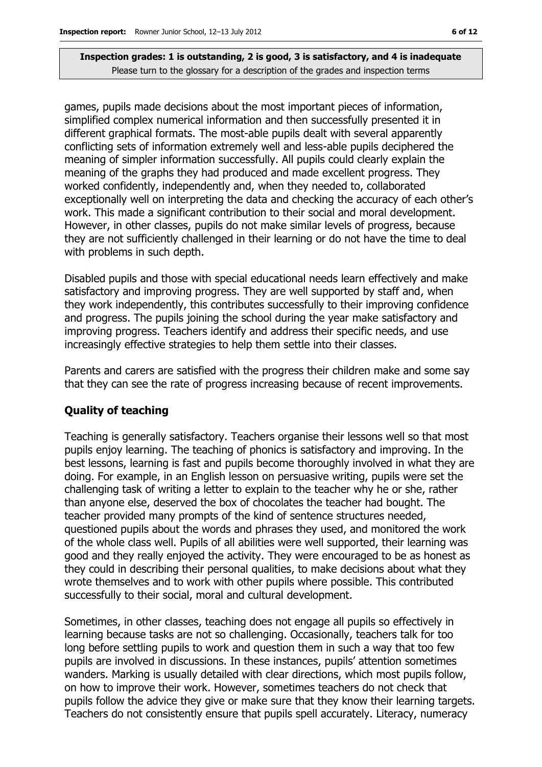games, pupils made decisions about the most important pieces of information, simplified complex numerical information and then successfully presented it in different graphical formats. The most-able pupils dealt with several apparently conflicting sets of information extremely well and less-able pupils deciphered the meaning of simpler information successfully. All pupils could clearly explain the meaning of the graphs they had produced and made excellent progress. They worked confidently, independently and, when they needed to, collaborated exceptionally well on interpreting the data and checking the accuracy of each other's work. This made a significant contribution to their social and moral development. However, in other classes, pupils do not make similar levels of progress, because they are not sufficiently challenged in their learning or do not have the time to deal with problems in such depth.

Disabled pupils and those with special educational needs learn effectively and make satisfactory and improving progress. They are well supported by staff and, when they work independently, this contributes successfully to their improving confidence and progress. The pupils joining the school during the year make satisfactory and improving progress. Teachers identify and address their specific needs, and use increasingly effective strategies to help them settle into their classes.

Parents and carers are satisfied with the progress their children make and some say that they can see the rate of progress increasing because of recent improvements.

#### **Quality of teaching**

Teaching is generally satisfactory. Teachers organise their lessons well so that most pupils enjoy learning. The teaching of phonics is satisfactory and improving. In the best lessons, learning is fast and pupils become thoroughly involved in what they are doing. For example, in an English lesson on persuasive writing, pupils were set the challenging task of writing a letter to explain to the teacher why he or she, rather than anyone else, deserved the box of chocolates the teacher had bought. The teacher provided many prompts of the kind of sentence structures needed, questioned pupils about the words and phrases they used, and monitored the work of the whole class well. Pupils of all abilities were well supported, their learning was good and they really enjoyed the activity. They were encouraged to be as honest as they could in describing their personal qualities, to make decisions about what they wrote themselves and to work with other pupils where possible. This contributed successfully to their social, moral and cultural development.

Sometimes, in other classes, teaching does not engage all pupils so effectively in learning because tasks are not so challenging. Occasionally, teachers talk for too long before settling pupils to work and question them in such a way that too few pupils are involved in discussions. In these instances, pupils' attention sometimes wanders. Marking is usually detailed with clear directions, which most pupils follow, on how to improve their work. However, sometimes teachers do not check that pupils follow the advice they give or make sure that they know their learning targets. Teachers do not consistently ensure that pupils spell accurately. Literacy, numeracy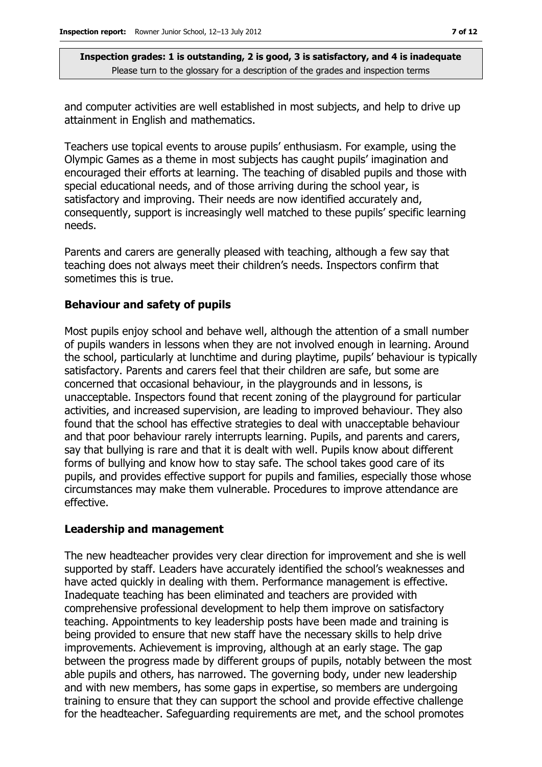and computer activities are well established in most subjects, and help to drive up attainment in English and mathematics.

Teachers use topical events to arouse pupils' enthusiasm. For example, using the Olympic Games as a theme in most subjects has caught pupils' imagination and encouraged their efforts at learning. The teaching of disabled pupils and those with special educational needs, and of those arriving during the school year, is satisfactory and improving. Their needs are now identified accurately and, consequently, support is increasingly well matched to these pupils' specific learning needs.

Parents and carers are generally pleased with teaching, although a few say that teaching does not always meet their children's needs. Inspectors confirm that sometimes this is true.

#### **Behaviour and safety of pupils**

Most pupils enjoy school and behave well, although the attention of a small number of pupils wanders in lessons when they are not involved enough in learning. Around the school, particularly at lunchtime and during playtime, pupils' behaviour is typically satisfactory. Parents and carers feel that their children are safe, but some are concerned that occasional behaviour, in the playgrounds and in lessons, is unacceptable. Inspectors found that recent zoning of the playground for particular activities, and increased supervision, are leading to improved behaviour. They also found that the school has effective strategies to deal with unacceptable behaviour and that poor behaviour rarely interrupts learning. Pupils, and parents and carers, say that bullying is rare and that it is dealt with well. Pupils know about different forms of bullying and know how to stay safe. The school takes good care of its pupils, and provides effective support for pupils and families, especially those whose circumstances may make them vulnerable. Procedures to improve attendance are effective.

#### **Leadership and management**

The new headteacher provides very clear direction for improvement and she is well supported by staff. Leaders have accurately identified the school's weaknesses and have acted quickly in dealing with them. Performance management is effective. Inadequate teaching has been eliminated and teachers are provided with comprehensive professional development to help them improve on satisfactory teaching. Appointments to key leadership posts have been made and training is being provided to ensure that new staff have the necessary skills to help drive improvements. Achievement is improving, although at an early stage. The gap between the progress made by different groups of pupils, notably between the most able pupils and others, has narrowed. The governing body, under new leadership and with new members, has some gaps in expertise, so members are undergoing training to ensure that they can support the school and provide effective challenge for the headteacher. Safeguarding requirements are met, and the school promotes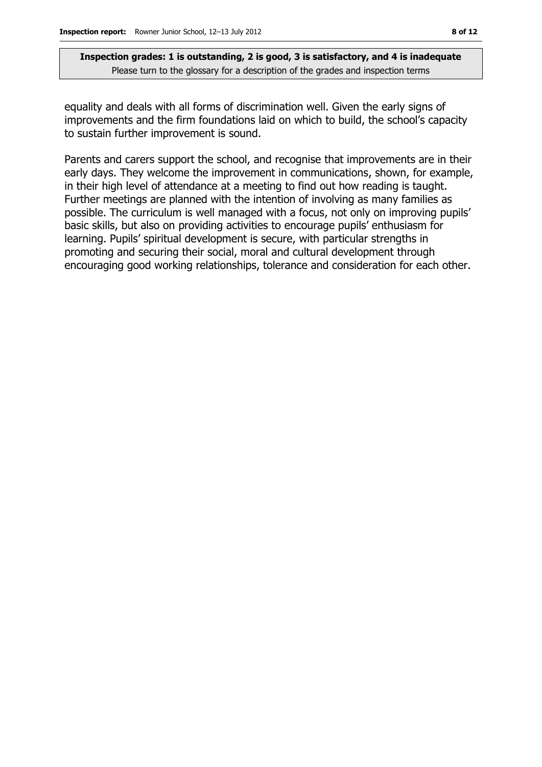equality and deals with all forms of discrimination well. Given the early signs of improvements and the firm foundations laid on which to build, the school's capacity to sustain further improvement is sound.

Parents and carers support the school, and recognise that improvements are in their early days. They welcome the improvement in communications, shown, for example, in their high level of attendance at a meeting to find out how reading is taught. Further meetings are planned with the intention of involving as many families as possible. The curriculum is well managed with a focus, not only on improving pupils' basic skills, but also on providing activities to encourage pupils' enthusiasm for learning. Pupils' spiritual development is secure, with particular strengths in promoting and securing their social, moral and cultural development through encouraging good working relationships, tolerance and consideration for each other.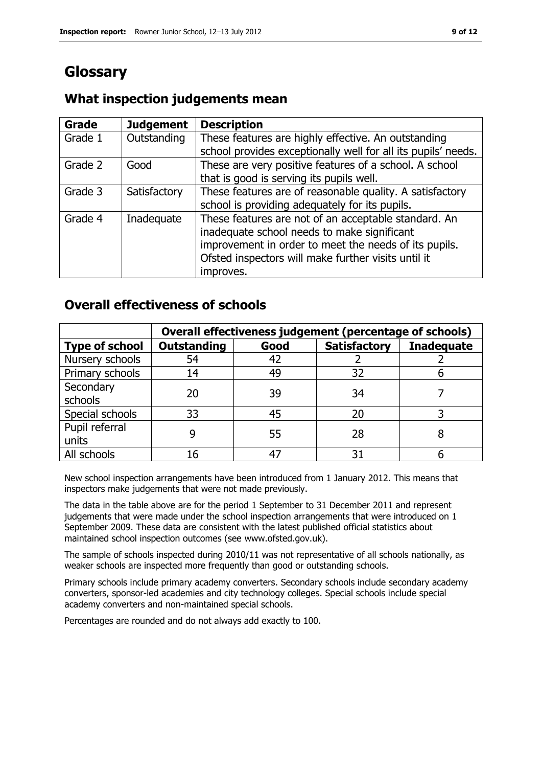# **Glossary**

### **What inspection judgements mean**

| <b>Grade</b> | <b>Judgement</b> | <b>Description</b>                                            |
|--------------|------------------|---------------------------------------------------------------|
| Grade 1      | Outstanding      | These features are highly effective. An outstanding           |
|              |                  | school provides exceptionally well for all its pupils' needs. |
| Grade 2      | Good             | These are very positive features of a school. A school        |
|              |                  | that is good is serving its pupils well.                      |
| Grade 3      | Satisfactory     | These features are of reasonable quality. A satisfactory      |
|              |                  | school is providing adequately for its pupils.                |
| Grade 4      | Inadequate       | These features are not of an acceptable standard. An          |
|              |                  | inadequate school needs to make significant                   |
|              |                  | improvement in order to meet the needs of its pupils.         |
|              |                  | Ofsted inspectors will make further visits until it           |
|              |                  | improves.                                                     |

### **Overall effectiveness of schools**

|                         | Overall effectiveness judgement (percentage of schools) |      |                     |                   |
|-------------------------|---------------------------------------------------------|------|---------------------|-------------------|
| <b>Type of school</b>   | <b>Outstanding</b>                                      | Good | <b>Satisfactory</b> | <b>Inadequate</b> |
| Nursery schools         | 54                                                      | 42   |                     |                   |
| Primary schools         | 14                                                      | 49   | 32                  |                   |
| Secondary<br>schools    | 20                                                      | 39   | 34                  |                   |
| Special schools         | 33                                                      | 45   | 20                  |                   |
| Pupil referral<br>units |                                                         | 55   | 28                  |                   |
| All schools             | 16                                                      |      | 31                  |                   |

New school inspection arrangements have been introduced from 1 January 2012. This means that inspectors make judgements that were not made previously.

The data in the table above are for the period 1 September to 31 December 2011 and represent judgements that were made under the school inspection arrangements that were introduced on 1 September 2009. These data are consistent with the latest published official statistics about maintained school inspection outcomes (see www.ofsted.gov.uk).

The sample of schools inspected during 2010/11 was not representative of all schools nationally, as weaker schools are inspected more frequently than good or outstanding schools.

Primary schools include primary academy converters. Secondary schools include secondary academy converters, sponsor-led academies and city technology colleges. Special schools include special academy converters and non-maintained special schools.

Percentages are rounded and do not always add exactly to 100.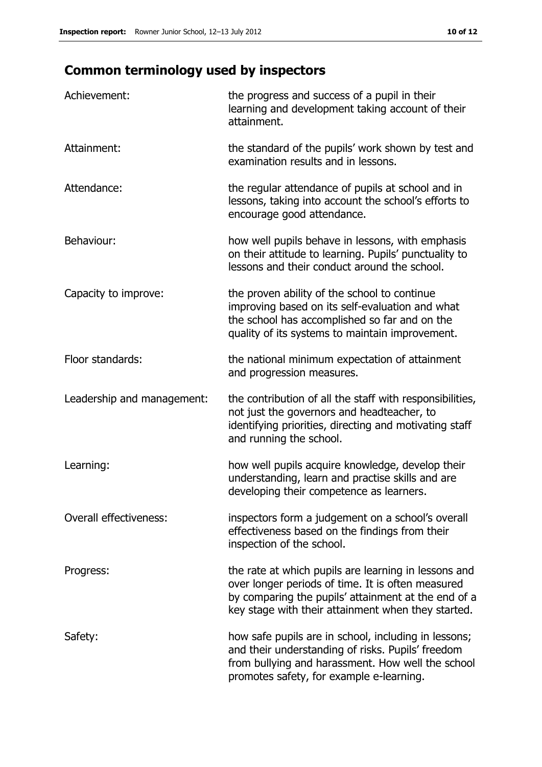# **Common terminology used by inspectors**

| Achievement:               | the progress and success of a pupil in their<br>learning and development taking account of their<br>attainment.                                                                                                        |
|----------------------------|------------------------------------------------------------------------------------------------------------------------------------------------------------------------------------------------------------------------|
| Attainment:                | the standard of the pupils' work shown by test and<br>examination results and in lessons.                                                                                                                              |
| Attendance:                | the regular attendance of pupils at school and in<br>lessons, taking into account the school's efforts to<br>encourage good attendance.                                                                                |
| Behaviour:                 | how well pupils behave in lessons, with emphasis<br>on their attitude to learning. Pupils' punctuality to<br>lessons and their conduct around the school.                                                              |
| Capacity to improve:       | the proven ability of the school to continue<br>improving based on its self-evaluation and what<br>the school has accomplished so far and on the<br>quality of its systems to maintain improvement.                    |
| Floor standards:           | the national minimum expectation of attainment<br>and progression measures.                                                                                                                                            |
| Leadership and management: | the contribution of all the staff with responsibilities,<br>not just the governors and headteacher, to<br>identifying priorities, directing and motivating staff<br>and running the school.                            |
| Learning:                  | how well pupils acquire knowledge, develop their<br>understanding, learn and practise skills and are<br>developing their competence as learners.                                                                       |
| Overall effectiveness:     | inspectors form a judgement on a school's overall<br>effectiveness based on the findings from their<br>inspection of the school.                                                                                       |
| Progress:                  | the rate at which pupils are learning in lessons and<br>over longer periods of time. It is often measured<br>by comparing the pupils' attainment at the end of a<br>key stage with their attainment when they started. |
| Safety:                    | how safe pupils are in school, including in lessons;<br>and their understanding of risks. Pupils' freedom<br>from bullying and harassment. How well the school<br>promotes safety, for example e-learning.             |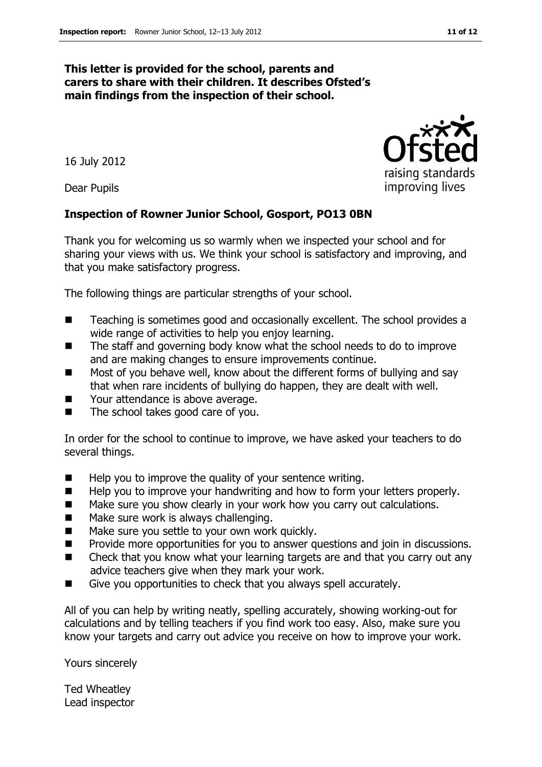#### **This letter is provided for the school, parents and carers to share with their children. It describes Ofsted's main findings from the inspection of their school.**

16 July 2012

Dear Pupils

#### **Inspection of Rowner Junior School, Gosport, PO13 0BN**

Thank you for welcoming us so warmly when we inspected your school and for sharing your views with us. We think your school is satisfactory and improving, and that you make satisfactory progress.

The following things are particular strengths of your school.

- Teaching is sometimes good and occasionally excellent. The school provides a wide range of activities to help you enjoy learning.
- The staff and governing body know what the school needs to do to improve and are making changes to ensure improvements continue.
- Most of you behave well, know about the different forms of bullying and say that when rare incidents of bullying do happen, they are dealt with well.
- Your attendance is above average.
- $\blacksquare$  The school takes good care of you.

In order for the school to continue to improve, we have asked your teachers to do several things.

- $\blacksquare$  Help you to improve the quality of your sentence writing.
- Help you to improve your handwriting and how to form your letters properly.
- Make sure you show clearly in your work how you carry out calculations.
- **Make sure work is always challenging.**
- **Make sure you settle to your own work quickly.**
- **Provide more opportunities for you to answer questions and join in discussions.**
- Check that you know what your learning targets are and that you carry out any advice teachers give when they mark your work.
- Give you opportunities to check that you always spell accurately.

All of you can help by writing neatly, spelling accurately, showing working-out for calculations and by telling teachers if you find work too easy. Also, make sure you know your targets and carry out advice you receive on how to improve your work.

Yours sincerely

Ted Wheatley Lead inspector